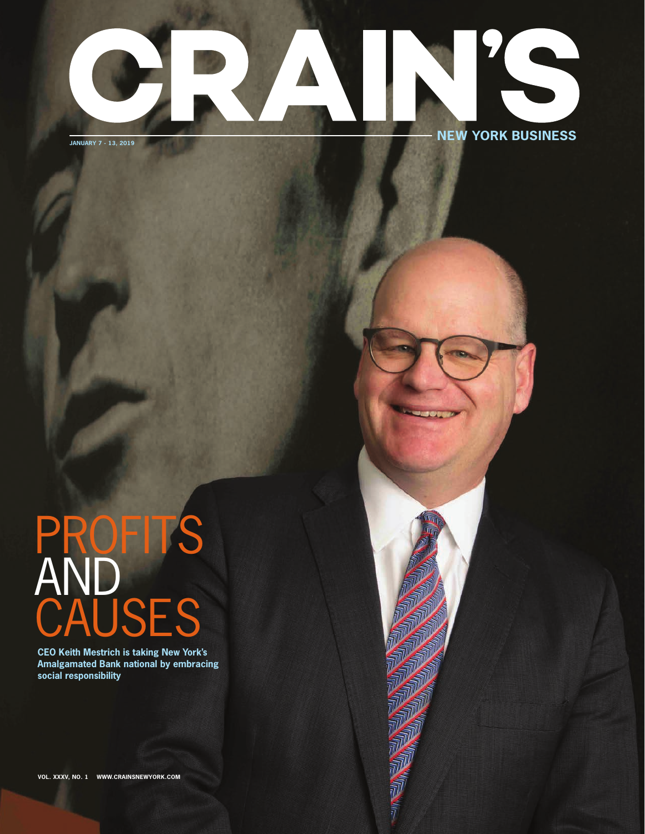### KS ® **NEW YORK BUSINESSJANUARY 7 - 13, 2019**

# **PROFITS** AND<br>CAUSES

**CEO Keith Mestrich is taking New York's Amalgamated Bank national by embracing social responsibility**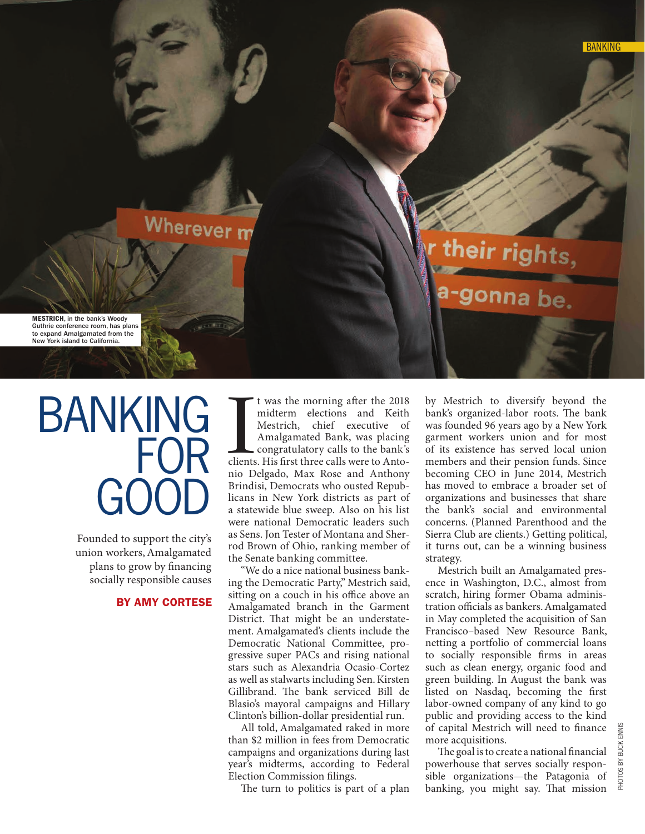## Wherever m

MESTRICH, in the bank's Woody Guthrie conference room, has plans to expand Amalgamated from the New York island to California.

# BANKING FOR GOOD

Founded to support the city's union workers, Amalgamated plans to grow by financing socially responsible causes

#### BY AMY CORTESE

It was the morning after the 2018<br>
midterm elections and Keith<br>
Mestrich, chief executive of<br>
Amalgamated Bank, was placing<br>
congratulatory calls to the bank's<br>
clients. His first three calls were to Anto-<br>
in Delgade, May was the morning after the 2018 midterm elections and Keith Mestrich, chief executive of Amalgamated Bank, was placing congratulatory calls to the bank's nio Delgado, Max Rose and Anthony Brindisi, Democrats who ousted Republicans in New York districts as part of a statewide blue sweep. Also on his list were national Democratic leaders such as Sens. Jon Tester of Montana and Sherrod Brown of Ohio, ranking member of the Senate banking committee.

"We do a nice national business banking the Democratic Party," Mestrich said, sitting on a couch in his office above an Amalgamated branch in the Garment District. That might be an understatement. Amalgamated's clients include the Democratic National Committee, progressive super PACs and rising national stars such as Alexandria Ocasio-Cortez as well as stalwarts including Sen. Kirsten Gillibrand. The bank serviced Bill de Blasio's mayoral campaigns and Hillary Clinton's billion-dollar presidential run.

All told, Amalgamated raked in more than \$2 million in fees from Democratic campaigns and organizations during last year's midterms, according to Federal Election Commission filings.

The turn to politics is part of a plan

by Mestrich to diversify beyond the bank's organized-labor roots. The bank was founded 96 years ago by a New York garment workers union and for most of its existence has served local union members and their pension funds. Since becoming CEO in June 2014, Mestrich has moved to embrace a broader set of organizations and businesses that share the bank's social and environmental concerns. (Planned Parenthood and the Sierra Club are clients.) Getting political, it turns out, can be a winning business strategy.

eir rights

Mestrich built an Amalgamated presence in Washington, D.C., almost from scratch, hiring former Obama administration officials as bankers. Amalgamated in May completed the acquisition of San Francisco–based New Resource Bank, netting a portfolio of commercial loans to socially responsible firms in areas such as clean energy, organic food and green building. In August the bank was listed on Nasdaq, becoming the first labor-owned company of any kind to go public and providing access to the kind of capital Mestrich will need to finance more acquisitions.

The goal is to create a national financial powerhouse that serves socially responsible organizations—the Patagonia of banking, you might say. That mission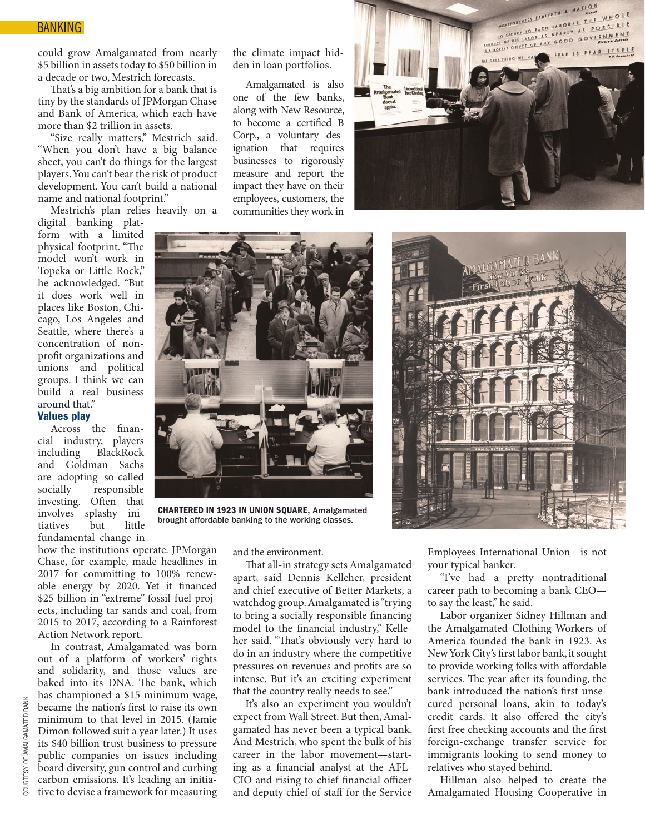could grow Amalgamated from nearly \$5 billion in assets today to \$50 billion in a decade or two, Mestrich forecasts.

That's a big ambition for a bank that is tiny by the standards of JPMorgan Chase and Bank of America, which each have more than \$2 trillion in assets.

"Size really matters," Mestrich said. "When you don't have a big balance sheet, you can't do things for the largest players. You can't bear the risk of product development. You can't build a national name and national footprint."

Mestrich's plan relies heavily on a

digital banking platform with a limited physical footprint. "The model won't work in Topeka or Little Rock," he acknowledged. "But it does work well in places like Boston, Chicago, Los Angeles and Seattle, where there's a concentration of nonprofit organizations and unions and political groups. I think we can build a real business around that."

#### Values play

Across the financial industry, players including BlackRock and Goldman Sachs are adopting so-called socially responsible investing. Often that involves splashy initiatives but little fundamental change in

how the institutions operate. JPMorgan Chase, for example, made headlines in 2017 for committing to 100% renewable energy by 2020. Yet it financed \$25 billion in "extreme" fossil-fuel projects, including tar sands and coal, from 2015 to 2017, according to a Rainforest Action Network report.

In contrast, Amalgamated was born out of a platform of workers' rights and solidarity, and those values are baked into its DNA. The bank, which has championed a \$15 minimum wage, became the nation's first to raise its own minimum to that level in 2015. (Jamie Dimon followed suit a year later.) It uses its \$40 billion trust business to pressure public companies on issues including board diversity, gun control and curbing carbon emissions. It's leading an initiative to devise a framework for measuring the climate impact hidden in loan portfolios.

Amalgamated is also one of the few banks, along with New Resource, to become a certified B Corp., a voluntary designation that requires businesses to rigorously measure and report the impact they have on their employees, customers, the communities they work in





CHARTERED IN 1923 IN UNION SQUARE, Amalgamated brought affordable banking to the working classes.

and the environment.

That all-in strategy sets Amalgamated apart, said Dennis Kelleher, president and chief executive of Better Markets, a watchdog group. Amalgamated is "trying to bring a socially responsible financing model to the financial industry," Kelleher said. "That's obviously very hard to do in an industry where the competitive pressures on revenues and profits are so intense. But it's an exciting experiment that the country really needs to see."

It's also an experiment you wouldn't expect from Wall Street. But then, Amalgamated has never been a typical bank. And Mestrich, who spent the bulk of his career in the labor movement—starting as a financial analyst at the AFL-CIO and rising to chief financial officer and deputy chief of staff for the Service



Employees International Union—is not your typical banker.

"I've had a pretty nontraditional career path to becoming a bank CEO to say the least," he said.

Labor organizer Sidney Hillman and the Amalgamated Clothing Workers of America founded the bank in 1923. As New York City's first labor bank, it sought to provide working folks with affordable services. The year after its founding, the bank introduced the nation's first unsecured personal loans, akin to today's credit cards. It also offered the city's first free checking accounts and the first foreign-exchange transfer service for immigrants looking to send money to relatives who stayed behind.

Hillman also helped to create the Amalgamated Housing Cooperative in